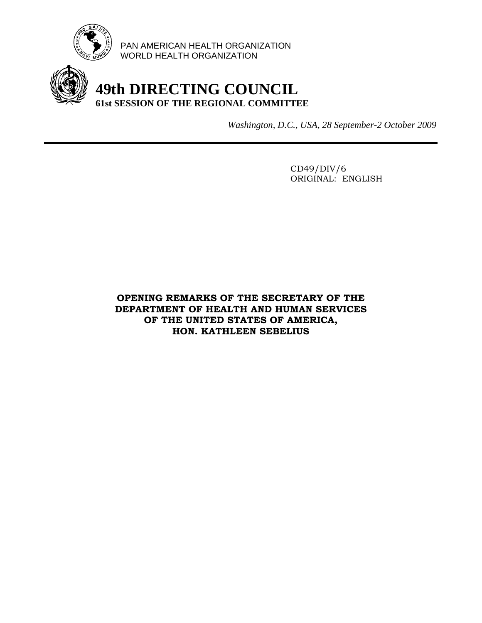

PAN AMERICAN HEALTH ORGANIZATION WORLD HEALTH ORGANIZATION

## **49th DIRECTING COUNCIL 61st SESSION OF THE REGIONAL COMMITTEE**

*Washington, D.C., USA, 28 September-2 October 2009*

 CD49/DIV/6 ORIGINAL: ENGLISH

## **OPENING REMARKS OF THE SECRETARY OF THE DEPARTMENT OF HEALTH AND HUMAN SERVICES OF THE UNITED STATES OF AMERICA, HON. KATHLEEN SEBELIUS**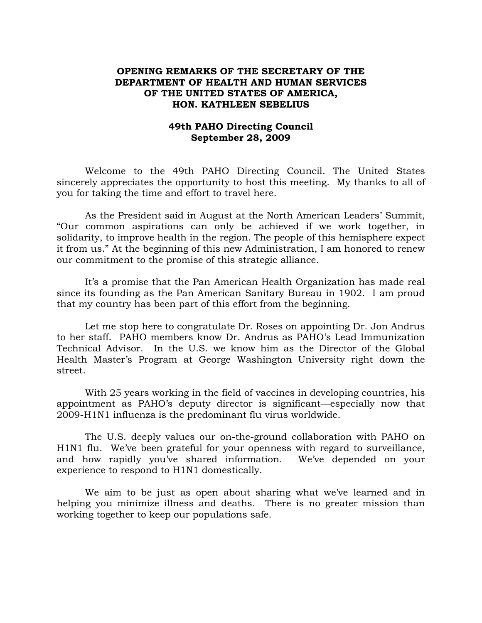## **OPENING REMARKS OF THE SECRETARY OF THE DEPARTMENT OF HEALTH AND HUMAN SERVICES OF THE UNITED STATES OF AMERICA, HON. KATHLEEN SEBELIUS**

## **49th PAHO Directing Council September 28, 2009**

Welcome to the 49th PAHO Directing Council. The United States sincerely appreciates the opportunity to host this meeting. My thanks to all of you for taking the time and effort to travel here.

As the President said in August at the North American Leaders' Summit, "Our common aspirations can only be achieved if we work together, in solidarity, to improve health in the region. The people of this hemisphere expect it from us." At the beginning of this new Administration, I am honored to renew our commitment to the promise of this strategic alliance.

It's a promise that the Pan American Health Organization has made real since its founding as the Pan American Sanitary Bureau in 1902. I am proud that my country has been part of this effort from the beginning.

Let me stop here to congratulate Dr. Roses on appointing Dr. Jon Andrus to her staff. PAHO members know Dr. Andrus as PAHO's Lead Immunization Technical Advisor. In the U.S. we know him as the Director of the Global Health Master's Program at George Washington University right down the street.

With 25 years working in the field of vaccines in developing countries, his appointment as PAHO's deputy director is significant—especially now that 2009-H1N1 influenza is the predominant flu virus worldwide.

The U.S. deeply values our on-the-ground collaboration with PAHO on H1N1 flu. We've been grateful for your openness with regard to surveillance, and how rapidly you've shared information. We've depended on your experience to respond to H1N1 domestically.

We aim to be just as open about sharing what we've learned and in helping you minimize illness and deaths. There is no greater mission than working together to keep our populations safe.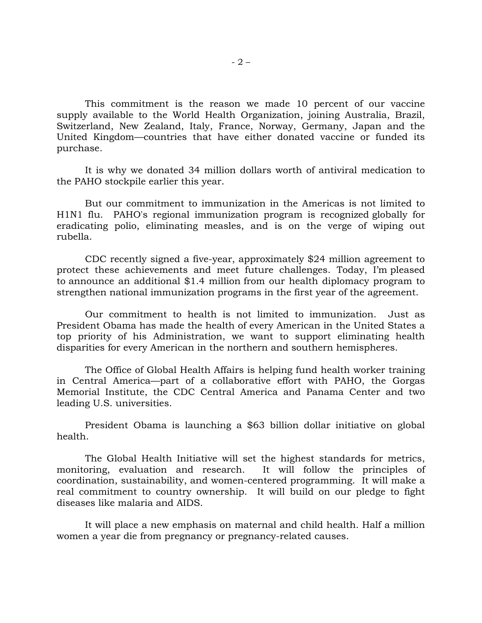This commitment is the reason we made 10 percent of our vaccine supply available to the World Health Organization, joining Australia, Brazil, Switzerland, New Zealand, Italy, France, Norway, Germany, Japan and the United Kingdom—countries that have either donated vaccine or funded its purchase.

It is why we donated 34 million dollars worth of antiviral medication to the PAHO stockpile earlier this year.

But our commitment to immunization in the Americas is not limited to H1N1 flu. PAHO's regional immunization program is recognized globally for eradicating polio, eliminating measles, and is on the verge of wiping out rubella.

CDC recently signed a five-year, approximately \$24 million agreement to protect these achievements and meet future challenges. Today, I'm pleased to announce an additional \$1.4 million from our health diplomacy program to strengthen national immunization programs in the first year of the agreement.

Our commitment to health is not limited to immunization. Just as President Obama has made the health of every American in the United States a top priority of his Administration, we want to support eliminating health disparities for every American in the northern and southern hemispheres.

The Office of Global Health Affairs is helping fund health worker training in Central America—part of a collaborative effort with PAHO, the Gorgas Memorial Institute, the CDC Central America and Panama Center and two leading U.S. universities.

President Obama is launching a \$63 billion dollar initiative on global health.

The Global Health Initiative will set the highest standards for metrics, monitoring, evaluation and research. It will follow the principles of coordination, sustainability, and women-centered programming. It will make a real commitment to country ownership. It will build on our pledge to fight diseases like malaria and AIDS.

It will place a new emphasis on maternal and child health. Half a million women a year die from pregnancy or pregnancy-related causes.